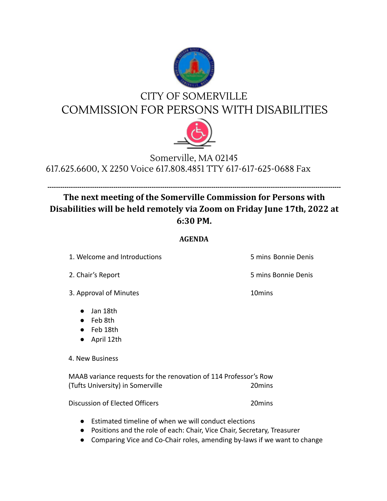

## CITY OF SOMERVILLE COMMISSION FOR PERSONS WITH DISABILITIES



## Somerville, MA 02145 617.625.6600, X 2250 Voice 617.808.4851 TTY 617-617-625-0688 Fax

## **------------------------------------------------------------------------------------------------------------------------------------------ The next meeting of the Somerville Commission for Persons with Disabilities will be held remotely via Zoom on Friday June 17th, 2022 at 6:30 PM.**

## **AGENDA**

1. Welcome and Introductions 5 mins Bonnie Denis

3. Approval of Minutes 10mins

● Jan 18th

- Feb 8th
- Feb 18th
- April 12th

4. New Business

MAAB variance requests for the renovation of 114 Professor's Row (Tufts University) in Somerville 20mins

Discussion of Elected Officers 20mins

- Estimated timeline of when we will conduct elections
- Positions and the role of each: Chair, Vice Chair, Secretary, Treasurer
- Comparing Vice and Co-Chair roles, amending by-laws if we want to change

2. Chair's Report 5 mins Bonnie Denis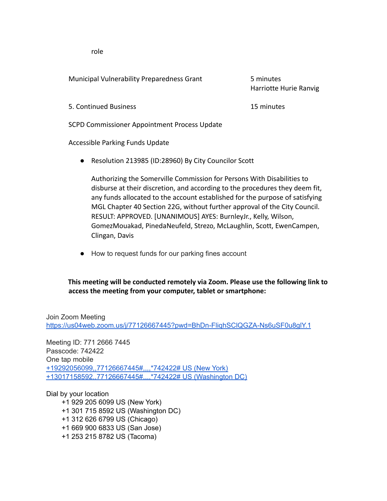role

Municipal Vulnerability Preparedness Grant 5 minutes

Harriotte Hurie Ranvig

5. Continued Business 15 minutes

SCPD Commissioner Appointment Process Update

Accessible Parking Funds Update

● Resolution 213985 (ID:28960) By City Councilor Scott

Authorizing the Somerville Commission for Persons With Disabilities to disburse at their discretion, and according to the procedures they deem fit, any funds allocated to the account established for the purpose of satisfying MGL Chapter 40 Section 22G, without further approval of the City Council. RESULT: APPROVED. [UNANIMOUS] AYES: BurnleyJr., Kelly, Wilson, GomezMouakad, PinedaNeufeld, Strezo, McLaughlin, Scott, EwenCampen, Clingan, Davis

● How to request funds for our parking fines account

**This meeting will be conducted remotely via Zoom. Please use the following link to access the meeting from your computer, tablet or smartphone:**

Join Zoom Meeting https://us04web.zoom.us/j/77126667445?pwd=BhDn-FliqhSClQGZA-Ns6uSF0u8glY.1

Meeting ID: 771 2666 7445 Passcode: 742422 One tap mobile +19292056099,,77126667445#,,,,\*742422# US (New York) +13017158592,,77126667445#,,,,\*742422# US (Washington DC)

Dial by your location

+1 929 205 6099 US (New York) +1 301 715 8592 US (Washington DC) +1 312 626 6799 US (Chicago) +1 669 900 6833 US (San Jose) +1 253 215 8782 US (Tacoma)